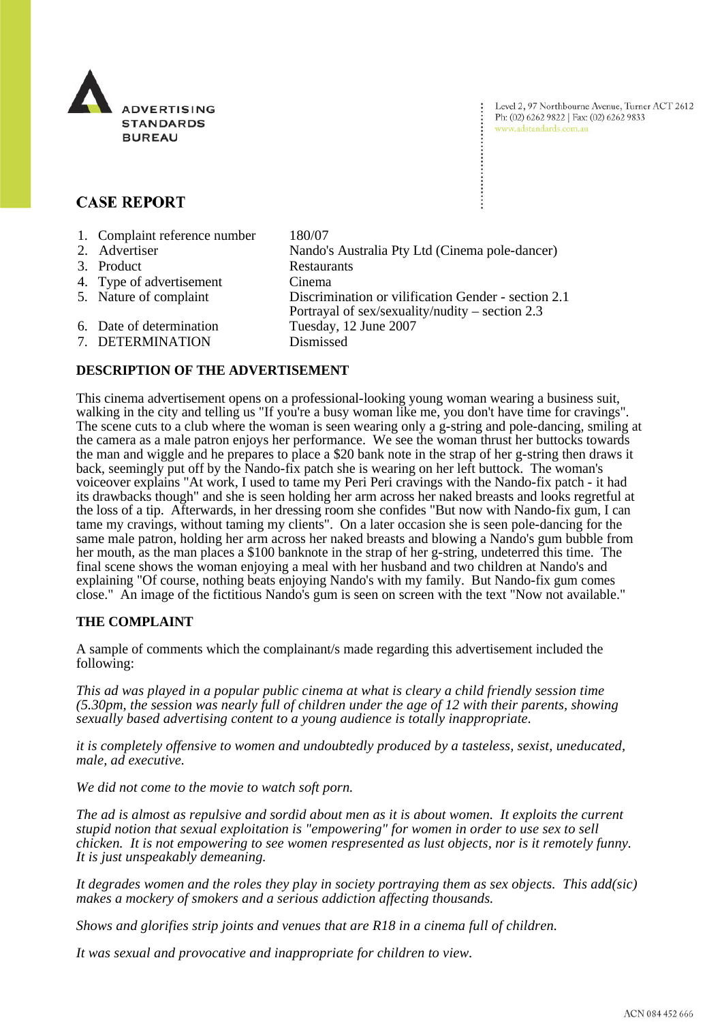

Level 2, 97 Northbourne Avenue, Turner ACT 2612 Ph: (02) 6262 9822 | Fax: (02) 6262 9833 www.adstandards.com.au

# **CASE REPORT**

| 1. Complaint reference number | 180/07                                              |
|-------------------------------|-----------------------------------------------------|
| 2. Advertiser                 | Nando's Australia Pty Ltd (Cinema pole-dancer)      |
| 3. Product                    | Restaurants                                         |
| 4. Type of advertisement      | Cinema                                              |
| 5. Nature of complaint        | Discrimination or vilification Gender - section 2.1 |
|                               | Portrayal of sex/sexuality/nudity – section $2.3$   |
| 6. Date of determination      | Tuesday, 12 June 2007                               |
| 7. DETERMINATION              | Dismissed                                           |

## **DESCRIPTION OF THE ADVERTISEMENT**

This cinema advertisement opens on a professional-looking young woman wearing a business suit, walking in the city and telling us "If you're a busy woman like me, you don't have time for cravings". The scene cuts to a club where the woman is seen wearing only a g-string and pole-dancing, smiling at the camera as a male patron enjoys her performance. We see the woman thrust her buttocks towards the man and wiggle and he prepares to place a \$20 bank note in the strap of her g-string then draws it back, seemingly put off by the Nando-fix patch she is wearing on her left buttock. The woman's voiceover explains "At work, I used to tame my Peri Peri cravings with the Nando-fix patch - it had its drawbacks though" and she is seen holding her arm across her naked breasts and looks regretful at the loss of a tip. Afterwards, in her dressing room she confides "But now with Nando-fix gum, I can tame my cravings, without taming my clients". On a later occasion she is seen pole-dancing for the same male patron, holding her arm across her naked breasts and blowing a Nando's gum bubble from her mouth, as the man places a \$100 banknote in the strap of her g-string, undeterred this time. The final scene shows the woman enjoying a meal with her husband and two children at Nando's and explaining "Of course, nothing beats enjoying Nando's with my family. But Nando-fix gum comes close." An image of the fictitious Nando's gum is seen on screen with the text "Now not available."

#### **THE COMPLAINT**

A sample of comments which the complainant/s made regarding this advertisement included the following:

*This ad was played in a popular public cinema at what is cleary a child friendly session time (5.30pm, the session was nearly full of children under the age of 12 with their parents, showing sexually based advertising content to a young audience is totally inappropriate.*

*it is completely offensive to women and undoubtedly produced by a tasteless, sexist, uneducated, male, ad executive.*

*We did not come to the movie to watch soft porn.*

*The ad is almost as repulsive and sordid about men as it is about women. It exploits the current stupid notion that sexual exploitation is "empowering" for women in order to use sex to sell chicken. It is not empowering to see women respresented as lust objects, nor is it remotely funny. It is just unspeakably demeaning.*

*It degrades women and the roles they play in society portraying them as sex objects. This add(sic) makes a mockery of smokers and a serious addiction affecting thousands.*

*Shows and glorifies strip joints and venues that are R18 in a cinema full of children.*

*It was sexual and provocative and inappropriate for children to view.*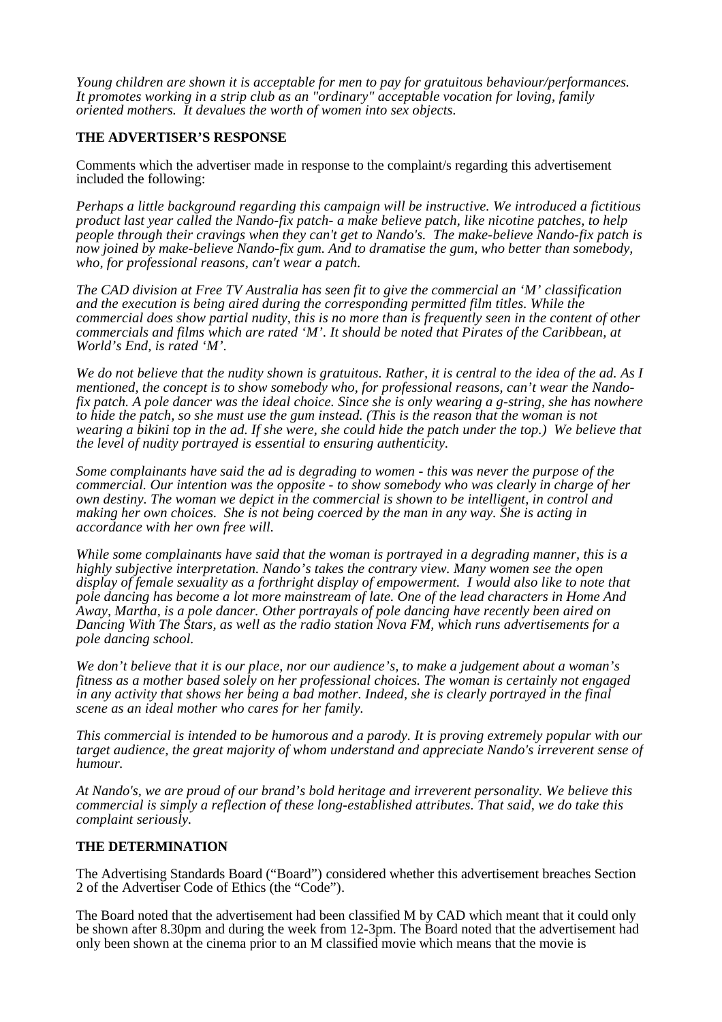*Young children are shown it is acceptable for men to pay for gratuitous behaviour/performances. It promotes working in a strip club as an "ordinary" acceptable vocation for loving, family oriented mothers. It devalues the worth of women into sex objects.*

### **THE ADVERTISER'S RESPONSE**

Comments which the advertiser made in response to the complaint/s regarding this advertisement included the following:

*Perhaps a little background regarding this campaign will be instructive. We introduced a fictitious product last year called the Nando-fix patch- a make believe patch, like nicotine patches, to help people through their cravings when they can't get to Nando's. The make-believe Nando-fix patch is now joined by make-believe Nando-fix gum. And to dramatise the gum, who better than somebody, who, for professional reasons, can't wear a patch.* 

*The CAD division at Free TV Australia has seen fit to give the commercial an 'M' classification and the execution is being aired during the corresponding permitted film titles. While the commercial does show partial nudity, this is no more than is frequently seen in the content of other commercials and films which are rated 'M'. It should be noted that Pirates of the Caribbean, at World's End, is rated 'M'.*

*We do not believe that the nudity shown is gratuitous. Rather, it is central to the idea of the ad. As I mentioned, the concept is to show somebody who, for professional reasons, can't wear the Nandofix patch. A pole dancer was the ideal choice. Since she is only wearing a g-string, she has nowhere to hide the patch, so she must use the gum instead. (This is the reason that the woman is not wearing a bikini top in the ad. If she were, she could hide the patch under the top.) We believe that the level of nudity portrayed is essential to ensuring authenticity.* 

*Some complainants have said the ad is degrading to women - this was never the purpose of the commercial. Our intention was the opposite - to show somebody who was clearly in charge of her own destiny. The woman we depict in the commercial is shown to be intelligent, in control and making her own choices. She is not being coerced by the man in any way. She is acting in accordance with her own free will.* 

*While some complainants have said that the woman is portrayed in a degrading manner, this is a highly subjective interpretation. Nando's takes the contrary view. Many women see the open display of female sexuality as a forthright display of empowerment. I would also like to note that pole dancing has become a lot more mainstream of late. One of the lead characters in Home And Away, Martha, is a pole dancer. Other portrayals of pole dancing have recently been aired on Dancing With The Stars, as well as the radio station Nova FM, which runs advertisements for a pole dancing school.*

*We don't believe that it is our place, nor our audience's, to make a judgement about a woman's fitness as a mother based solely on her professional choices. The woman is certainly not engaged in any activity that shows her being a bad mother. Indeed, she is clearly portrayed in the final scene as an ideal mother who cares for her family.*

*This commercial is intended to be humorous and a parody. It is proving extremely popular with our target audience, the great majority of whom understand and appreciate Nando's irreverent sense of humour.* 

*At Nando's, we are proud of our brand's bold heritage and irreverent personality. We believe this commercial is simply a reflection of these long-established attributes. That said, we do take this complaint seriously.*

#### **THE DETERMINATION**

The Advertising Standards Board ("Board") considered whether this advertisement breaches Section 2 of the Advertiser Code of Ethics (the "Code").

The Board noted that the advertisement had been classified M by CAD which meant that it could only be shown after 8.30pm and during the week from 12-3pm. The Board noted that the advertisement had only been shown at the cinema prior to an M classified movie which means that the movie is